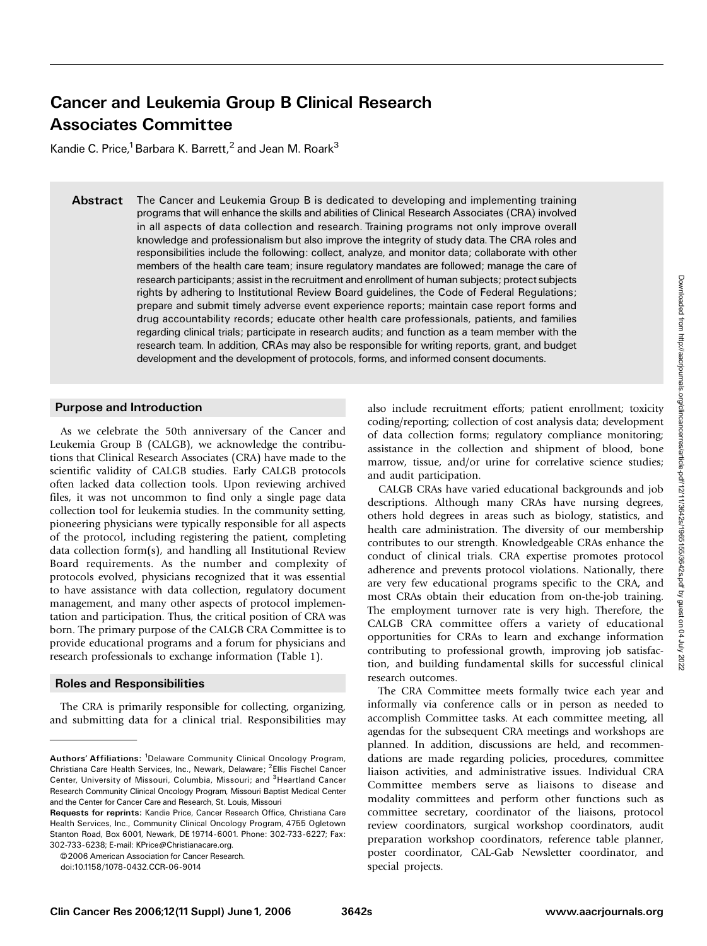# Cancer and Leukemia Group B Clinical Research Associates Committee

Kandie C. Price,<sup>1</sup> Barbara K. Barrett,<sup>2</sup> and Jean M. Roark<sup>3</sup>

Abstract The Cancer and Leukemia Group B is dedicated to developing and implementing training programs that will enhance the skills and abilities of Clinical Research Associates (CRA) involved in all aspects of data collection and research. Training programs not only improve overall knowledge and professionalism but also improve the integrity of study data. The CRA roles and responsibilities include the following: collect, analyze, and monitor data; collaborate with other members of the health care team; insure regulatory mandates are followed; manage the care of research participants; assist in the recruitment and enrollment of human subjects; protect subjects rights by adhering to Institutional Review Board guidelines, the Code of Federal Regulations; prepare and submit timely adverse event experience reports; maintain case report forms and drug accountability records; educate other health care professionals, patients, and families regarding clinical trials; participate in research audits; and function as a team member with the research team. In addition, CRAs may also be responsible for writing reports, grant, and budget development and the development of protocols, forms, and informed consent documents.

#### Purpose and Introduction

As we celebrate the 50th anniversary of the Cancer and Leukemia Group B (CALGB), we acknowledge the contributions that Clinical Research Associates (CRA) have made to the scientific validity of CALGB studies. Early CALGB protocols often lacked data collection tools. Upon reviewing archived files, it was not uncommon to find only a single page data collection tool for leukemia studies. In the community setting, pioneering physicians were typically responsible for all aspects of the protocol, including registering the patient, completing data collection form(s), and handling all Institutional Review Board requirements. As the number and complexity of protocols evolved, physicians recognized that it was essential to have assistance with data collection, regulatory document management, and many other aspects of protocol implementation and participation. Thus, the critical position of CRA was born. The primary purpose of the CALGB CRA Committee is to provide educational programs and a forum for physicians and research professionals to exchange information (Table 1).

#### Roles and Responsibilities

The CRA is primarily responsible for collecting, organizing, and submitting data for a clinical trial. Responsibilities may

©2006 American Association for Cancer Research

also include recruitment efforts; patient enrollment; toxicity coding/reporting; collection of cost analysis data; development of data collection forms; regulatory compliance monitoring; assistance in the collection and shipment of blood, bone marrow, tissue, and/or urine for correlative science studies; and audit participation.

CALGB CRAs have varied educational backgrounds and job descriptions. Although many CRAs have nursing degrees, others hold degrees in areas such as biology, statistics, and health care administration. The diversity of our membership contributes to our strength. Knowledgeable CRAs enhance the conduct of clinical trials. CRA expertise promotes protocol adherence and prevents protocol violations. Nationally, there are very few educational programs specific to the CRA, and most CRAs obtain their education from on-the-job training. The employment turnover rate is very high. Therefore, the CALGB CRA committee offers a variety of educational opportunities for CRAs to learn and exchange information contributing to professional growth, improving job satisfaction, and building fundamental skills for successful clinical research outcomes.

The CRA Committee meets formally twice each year and informally via conference calls or in person as needed to accomplish Committee tasks. At each committee meeting, all agendas for the subsequent CRA meetings and workshops are planned. In addition, discussions are held, and recommendations are made regarding policies, procedures, committee liaison activities, and administrative issues. Individual CRA Committee members serve as liaisons to disease and modality committees and perform other functions such as committee secretary, coordinator of the liaisons, protocol review coordinators, surgical workshop coordinators, audit preparation workshop coordinators, reference table planner, poster coordinator, CAL-Gab Newsletter coordinator, and special projects.

Authors' Affiliations: <sup>1</sup>Delaware Community Clinical Oncology Program, Christiana Care Health Services, Inc., Newark, Delaware; <sup>2</sup>Ellis Fischel Cancer Center, University of Missouri, Columbia, Missouri; and <sup>3</sup> Heartland Cancer Research Community Clinical Oncology Program, Missouri Baptist Medical Center and the Center for Cancer Care and Research, St. Louis, Missouri

Requests for reprints: Kandie Price, Cancer Research Office, Christiana Care Health Services, Inc., Community Clinical Oncology Program, 4755 Ogletown Stanton Road, Box 6001, Newark, DE 19714-6001. Phone: 302-733-6227; Fax: 302-733-6238; E-mail: KPrice@Christianacare.org.

doi:10.1158/1078-0432.CCR-06-9014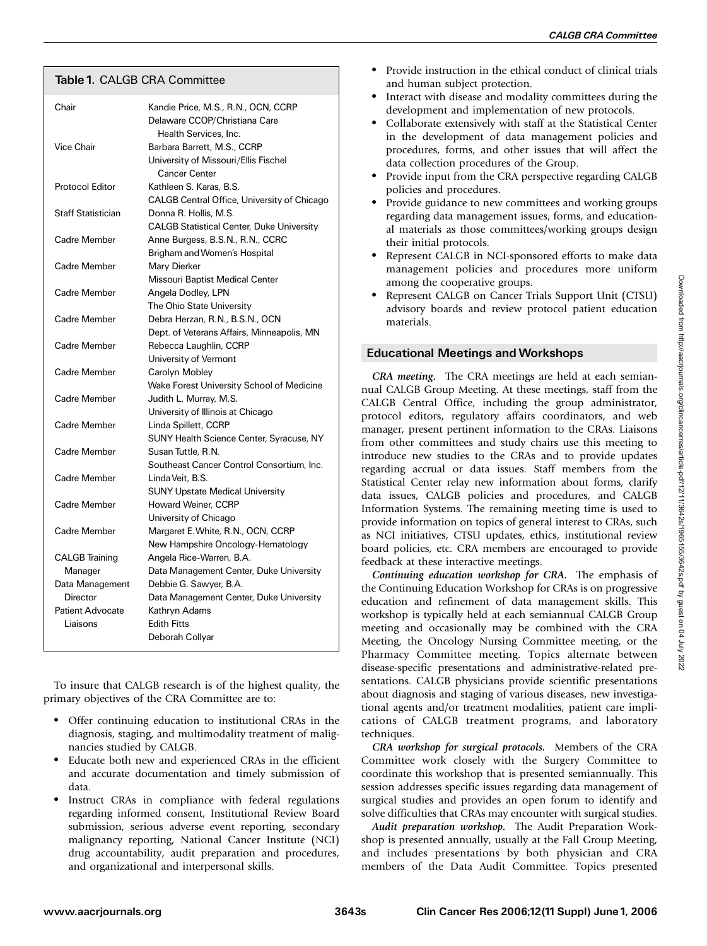### Table 1. CALGB CRA Committee

| Chair                               | Kandie Price, M.S., R.N., OCN, CCRP<br>Delaware CCOP/Christiana Care |  |
|-------------------------------------|----------------------------------------------------------------------|--|
| Vice Chair                          | Health Services, Inc.<br>Barbara Barrett, M.S., CCRP                 |  |
|                                     | University of Missouri/Ellis Fischel<br><b>Cancer Center</b>         |  |
| <b>Protocol Editor</b>              | Kathleen S. Karas, B.S.                                              |  |
|                                     | CALGB Central Office, University of Chicago                          |  |
| <b>Staff Statistician</b>           | Donna R. Hollis, M.S.                                                |  |
|                                     | <b>CALGB Statistical Center, Duke University</b>                     |  |
| Cadre Member                        | Anne Burgess, B.S.N., R.N., CCRC                                     |  |
|                                     | Brigham and Women's Hospital                                         |  |
| Cadre Member                        | Mary Dierker                                                         |  |
|                                     | Missouri Baptist Medical Center                                      |  |
| Cadre Member                        | Angela Dodley, LPN                                                   |  |
|                                     | The Ohio State University                                            |  |
| Cadre Member                        | Debra Herzan, R.N., B.S.N., OCN                                      |  |
|                                     | Dept. of Veterans Affairs, Minneapolis, MN                           |  |
| Cadre Member                        | Rebecca Laughlin, CCRP                                               |  |
|                                     | University of Vermont                                                |  |
| Cadre Member                        | Carolyn Mobley                                                       |  |
|                                     | Wake Forest University School of Medicine                            |  |
| Cadre Member                        | Judith L. Murray, M.S.                                               |  |
|                                     | University of Illinois at Chicago                                    |  |
| Cadre Member                        | Linda Spillett, CCRP                                                 |  |
|                                     | <b>SUNY Health Science Center, Syracuse, NY</b>                      |  |
| Cadre Member                        | Susan Tuttle, R.N.                                                   |  |
|                                     | Southeast Cancer Control Consortium, Inc.                            |  |
| Cadre Member                        | Linda Veit, B.S.                                                     |  |
|                                     | <b>SUNY Upstate Medical University</b>                               |  |
| Cadre Member                        | Howard Weiner, CCRP                                                  |  |
|                                     | University of Chicago                                                |  |
| Cadre Member                        | Margaret E. White, R.N., OCN, CCRP                                   |  |
|                                     | New Hampshire Oncology-Hematology                                    |  |
| <b>CALGB</b> Training               | Angela Rice-Warren, B.A.                                             |  |
| Manager                             | Data Management Center, Duke University                              |  |
| Data Management                     | Debbie G. Sawyer, B.A.                                               |  |
| Director<br><b>Patient Advocate</b> | Data Management Center, Duke University                              |  |
| Liaisons                            | Kathryn Adams<br><b>Edith Fitts</b>                                  |  |
|                                     | Deborah Collyar                                                      |  |
|                                     |                                                                      |  |

To insure that CALGB research is of the highest quality, the primary objectives of the CRA Committee are to:

- Offer continuing education to institutional CRAs in the diagnosis, staging, and multimodality treatment of malignancies studied by CALGB.
- Educate both new and experienced CRAs in the efficient and accurate documentation and timely submission of data.
- Instruct CRAs in compliance with federal regulations regarding informed consent, Institutional Review Board submission, serious adverse event reporting, secondary malignancy reporting, National Cancer Institute (NCI) drug accountability, audit preparation and procedures, and organizational and interpersonal skills.
- Provide instruction in the ethical conduct of clinical trials and human subject protection.
- Interact with disease and modality committees during the development and implementation of new protocols.
- Collaborate extensively with staff at the Statistical Center in the development of data management policies and procedures, forms, and other issues that will affect the data collection procedures of the Group.
- Provide input from the CRA perspective regarding CALGB policies and procedures.
- Provide guidance to new committees and working groups regarding data management issues, forms, and educational materials as those committees/working groups design their initial protocols.
- Represent CALGB in NCI-sponsored efforts to make data management policies and procedures more uniform among the cooperative groups.
- Represent CALGB on Cancer Trials Support Unit (CTSU) advisory boards and review protocol patient education materials.

## Educational Meetings andWorkshops

CRA meeting. The CRA meetings are held at each semiannual CALGB Group Meeting. At these meetings, staff from the CALGB Central Office, including the group administrator, protocol editors, regulatory affairs coordinators, and web manager, present pertinent information to the CRAs. Liaisons from other committees and study chairs use this meeting to introduce new studies to the CRAs and to provide updates regarding accrual or data issues. Staff members from the Statistical Center relay new information about forms, clarify data issues, CALGB policies and procedures, and CALGB Information Systems. The remaining meeting time is used to provide information on topics of general interest to CRAs, such as NCI initiatives, CTSU updates, ethics, institutional review board policies, etc. CRA members are encouraged to provide feedback at these interactive meetings.

Continuing education workshop for CRA. The emphasis of the Continuing Education Workshop for CRAs is on progressive education and refinement of data management skills. This workshop is typically held at each semiannual CALGB Group meeting and occasionally may be combined with the CRA Meeting, the Oncology Nursing Committee meeting, or the Pharmacy Committee meeting. Topics alternate between disease-specific presentations and administrative-related presentations. CALGB physicians provide scientific presentations about diagnosis and staging of various diseases, new investigational agents and/or treatment modalities, patient care implications of CALGB treatment programs, and laboratory techniques.

CRA workshop for surgical protocols. Members of the CRA Committee work closely with the Surgery Committee to coordinate this workshop that is presented semiannually. This session addresses specific issues regarding data management of surgical studies and provides an open forum to identify and solve difficulties that CRAs may encounter with surgical studies.

Audit preparation workshop. The Audit Preparation Workshop is presented annually, usually at the Fall Group Meeting, and includes presentations by both physician and CRA members of the Data Audit Committee. Topics presented